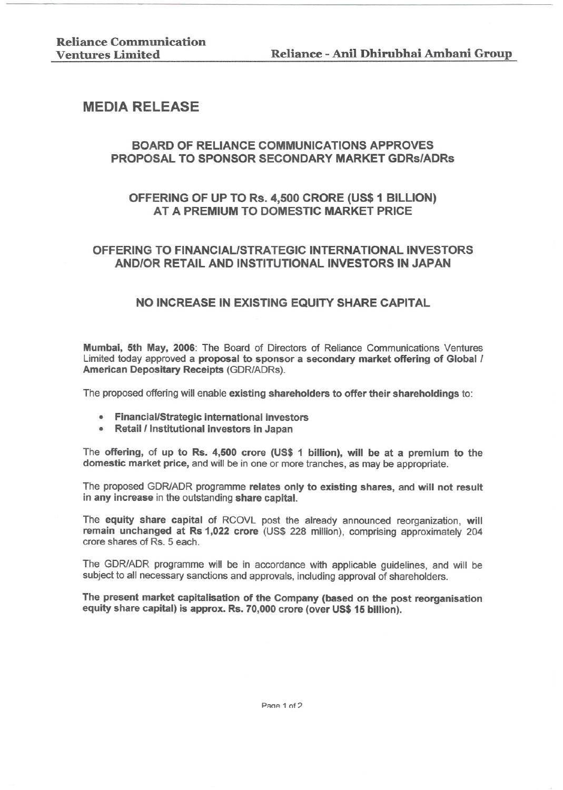# MEDIA RELEASE

# BOARD OF RELIANCE COMMUNICATIONS APPROVES PROPOSAL TO SPONSOR SECONDARY MARKET GDRS/ADRS

### OFFERING OF UP TO Rs. 4,500 CRORE (US\$ 1 BilLION) AT A PREMIUM TO DOMESTIC MARKET PRICE

# OFFERING TO FINANCIAL/STRATEGIC INTERNATIONAL INVESTORS AND/OR RETAil AND INSTITUTIONALINVESTORS INJAPAN

### NO INCREASE IN EXISTING EQUITY SHARE CAPITAL

Mumbai, 5th May, 2006: The Board of Directors of Reliance Communications Ventures Limited today approved a proposal to sponsor a secondary market offering of Global / American Depositary Receipts (GDRlADRs).

The proposed offering will enable existing shareholders to offer their shareholdings to:

- . Financial/Strategic international investors
- . Retail/Institutional investors in Japan

The offering, of up to Rs. 4,500 crore (US\$ 1 billion), will be at a premium to the domestic market price, and will be in one or more tranches, as may be appropriate.

The proposed GDR/ADR programme relates only to existing shares, and will not result in any increase in the outstanding share capital.

The equity share capital of RCOVL post the already announced reorganization, will remain unchanged at Rs 1,022 crore (US\$ 228 million), comprising approximately 204 crore shares of Rs. 5 each.

The GDR/ADR programme will be in accordance with applicable guidelines, and will be subject to all necessary sanctions and approvals, including approval of shareholders.

The present market capitalisation of the Company (based on the post reorganisation equity share capital) is approx. Rs. 70,000 crore (over US\$15 billion).